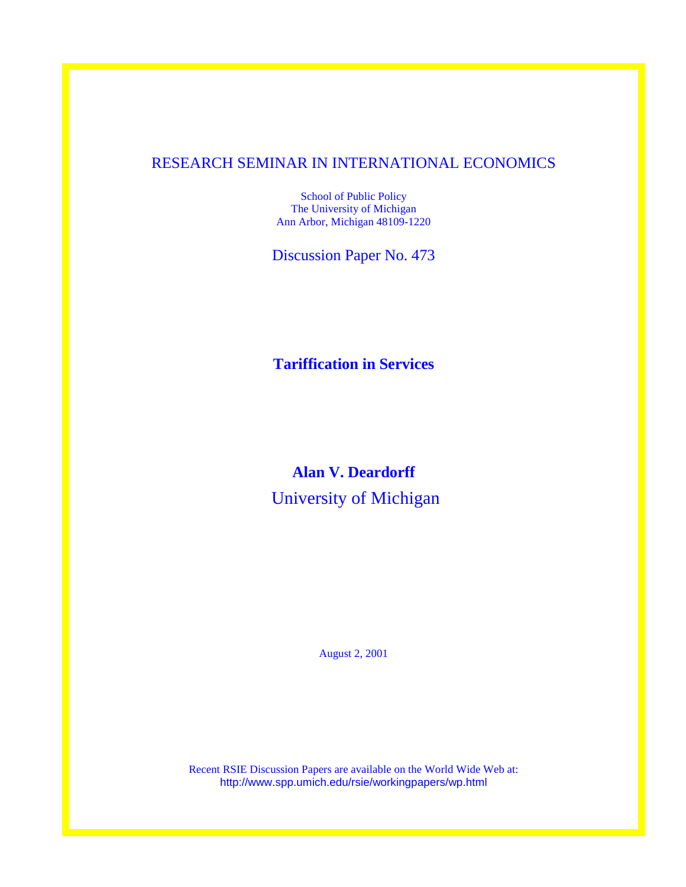## RESEARCH SEMINAR IN INTERNATIONAL ECONOMICS

School of Public Policy The University of Michigan Ann Arbor, Michigan 48109-1220

Discussion Paper No. 473

**Tariffication in Services** 

# **Alan V. Deardorff**  University of Michigan

August 2, 2001

Recent RSIE Discussion Papers are available on the World Wide Web at: http://www.spp.umich.edu/rsie/workingpapers/wp.html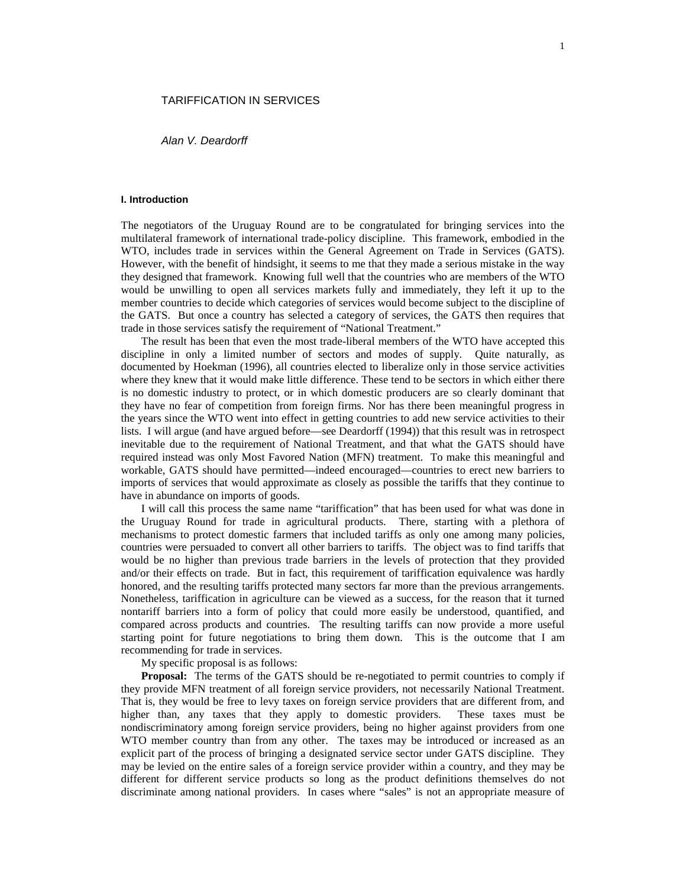#### Alan V. Deardorff

#### **I. Introduction**

The negotiators of the Uruguay Round are to be congratulated for bringing services into the multilateral framework of international trade-policy discipline. This framework, embodied in the WTO, includes trade in services within the General Agreement on Trade in Services (GATS). However, with the benefit of hindsight, it seems to me that they made a serious mistake in the way they designed that framework. Knowing full well that the countries who are members of the WTO would be unwilling to open all services markets fully and immediately, they left it up to the member countries to decide which categories of services would become subject to the discipline of the GATS. But once a country has selected a category of services, the GATS then requires that trade in those services satisfy the requirement of "National Treatment."

The result has been that even the most trade-liberal members of the WTO have accepted this discipline in only a limited number of sectors and modes of supply. Quite naturally, as documented by Hoekman (1996), all countries elected to liberalize only in those service activities where they knew that it would make little difference. These tend to be sectors in which either there is no domestic industry to protect, or in which domestic producers are so clearly dominant that they have no fear of competition from foreign firms. Nor has there been meaningful progress in the years since the WTO went into effect in getting countries to add new service activities to their lists. I will argue (and have argued before—see Deardorff (1994)) that this result was in retrospect inevitable due to the requirement of National Treatment, and that what the GATS should have required instead was only Most Favored Nation (MFN) treatment. To make this meaningful and workable, GATS should have permitted—indeed encouraged—countries to erect new barriers to imports of services that would approximate as closely as possible the tariffs that they continue to have in abundance on imports of goods.

I will call this process the same name "tariffication" that has been used for what was done in the Uruguay Round for trade in agricultural products. There, starting with a plethora of mechanisms to protect domestic farmers that included tariffs as only one among many policies, countries were persuaded to convert all other barriers to tariffs. The object was to find tariffs that would be no higher than previous trade barriers in the levels of protection that they provided and/or their effects on trade. But in fact, this requirement of tariffication equivalence was hardly honored, and the resulting tariffs protected many sectors far more than the previous arrangements. Nonetheless, tariffication in agriculture can be viewed as a success, for the reason that it turned nontariff barriers into a form of policy that could more easily be understood, quantified, and compared across products and countries. The resulting tariffs can now provide a more useful starting point for future negotiations to bring them down. This is the outcome that I am recommending for trade in services.

My specific proposal is as follows:

**Proposal:** The terms of the GATS should be re-negotiated to permit countries to comply if they provide MFN treatment of all foreign service providers, not necessarily National Treatment. That is, they would be free to levy taxes on foreign service providers that are different from, and higher than, any taxes that they apply to domestic providers. These taxes must be nondiscriminatory among foreign service providers, being no higher against providers from one WTO member country than from any other. The taxes may be introduced or increased as an explicit part of the process of bringing a designated service sector under GATS discipline. They may be levied on the entire sales of a foreign service provider within a country, and they may be different for different service products so long as the product definitions themselves do not discriminate among national providers. In cases where "sales" is not an appropriate measure of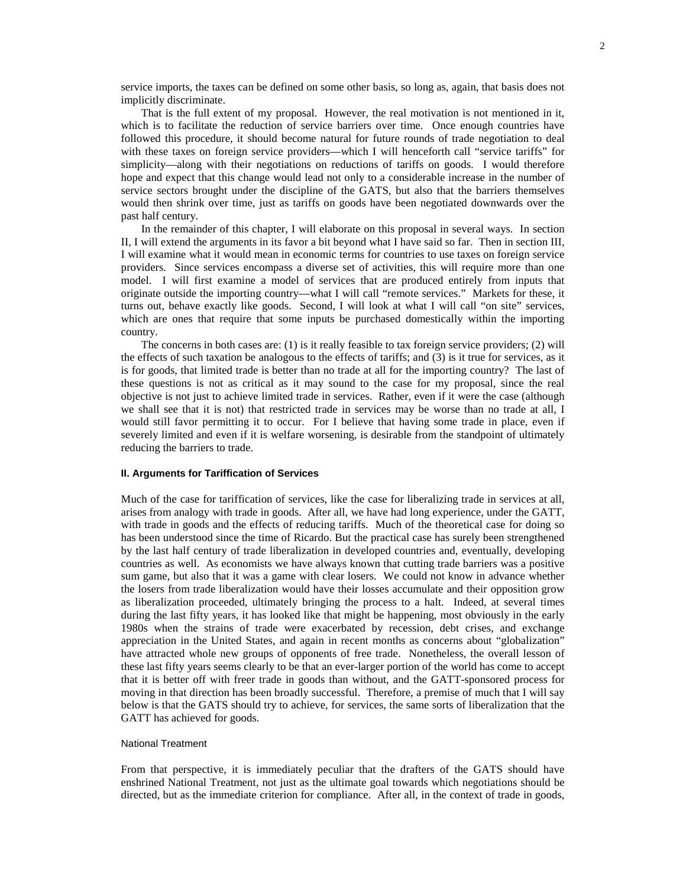service imports, the taxes can be defined on some other basis, so long as, again, that basis does not implicitly discriminate.

That is the full extent of my proposal. However, the real motivation is not mentioned in it, which is to facilitate the reduction of service barriers over time. Once enough countries have followed this procedure, it should become natural for future rounds of trade negotiation to deal with these taxes on foreign service providers—which I will henceforth call "service tariffs" for simplicity—along with their negotiations on reductions of tariffs on goods. I would therefore hope and expect that this change would lead not only to a considerable increase in the number of service sectors brought under the discipline of the GATS, but also that the barriers themselves would then shrink over time, just as tariffs on goods have been negotiated downwards over the past half century.

In the remainder of this chapter, I will elaborate on this proposal in several ways. In section II, I will extend the arguments in its favor a bit beyond what I have said so far. Then in section III, I will examine what it would mean in economic terms for countries to use taxes on foreign service providers. Since services encompass a diverse set of activities, this will require more than one model. I will first examine a model of services that are produced entirely from inputs that originate outside the importing country—what I will call "remote services." Markets for these, it turns out, behave exactly like goods. Second, I will look at what I will call "on site" services, which are ones that require that some inputs be purchased domestically within the importing country.

The concerns in both cases are: (1) is it really feasible to tax foreign service providers; (2) will the effects of such taxation be analogous to the effects of tariffs; and (3) is it true for services, as it is for goods, that limited trade is better than no trade at all for the importing country? The last of these questions is not as critical as it may sound to the case for my proposal, since the real objective is not just to achieve limited trade in services. Rather, even if it were the case (although we shall see that it is not) that restricted trade in services may be worse than no trade at all, I would still favor permitting it to occur. For I believe that having some trade in place, even if severely limited and even if it is welfare worsening, is desirable from the standpoint of ultimately reducing the barriers to trade.

### **II. Arguments for Tariffication of Services**

Much of the case for tariffication of services, like the case for liberalizing trade in services at all, arises from analogy with trade in goods. After all, we have had long experience, under the GATT, with trade in goods and the effects of reducing tariffs. Much of the theoretical case for doing so has been understood since the time of Ricardo. But the practical case has surely been strengthened by the last half century of trade liberalization in developed countries and, eventually, developing countries as well. As economists we have always known that cutting trade barriers was a positive sum game, but also that it was a game with clear losers. We could not know in advance whether the losers from trade liberalization would have their losses accumulate and their opposition grow as liberalization proceeded, ultimately bringing the process to a halt. Indeed, at several times during the last fifty years, it has looked like that might be happening, most obviously in the early 1980s when the strains of trade were exacerbated by recession, debt crises, and exchange appreciation in the United States, and again in recent months as concerns about "globalization" have attracted whole new groups of opponents of free trade. Nonetheless, the overall lesson of these last fifty years seems clearly to be that an ever-larger portion of the world has come to accept that it is better off with freer trade in goods than without, and the GATT-sponsored process for moving in that direction has been broadly successful. Therefore, a premise of much that I will say below is that the GATS should try to achieve, for services, the same sorts of liberalization that the GATT has achieved for goods.

#### National Treatment

From that perspective, it is immediately peculiar that the drafters of the GATS should have enshrined National Treatment, not just as the ultimate goal towards which negotiations should be directed, but as the immediate criterion for compliance. After all, in the context of trade in goods,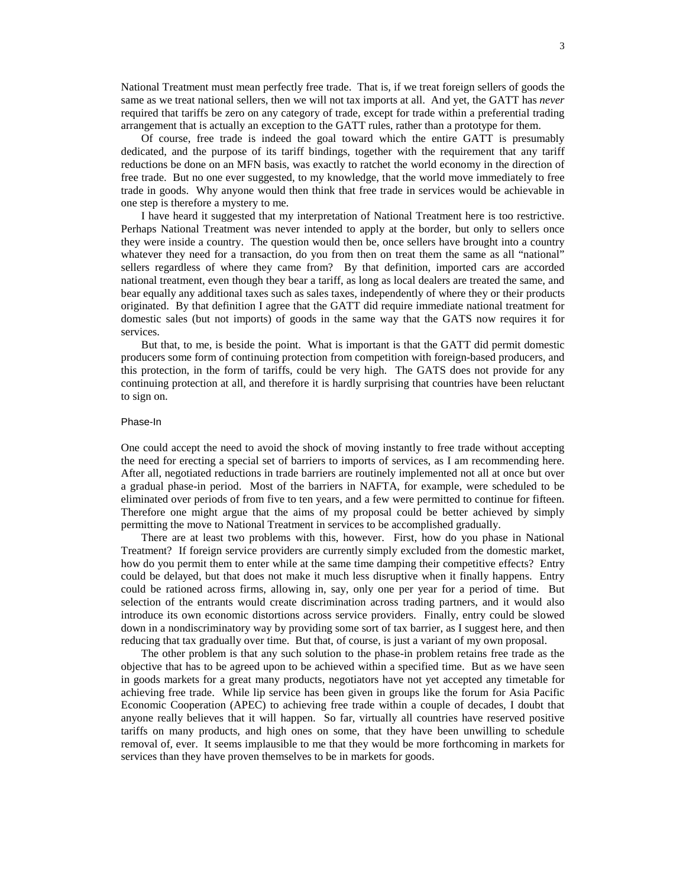National Treatment must mean perfectly free trade. That is, if we treat foreign sellers of goods the same as we treat national sellers, then we will not tax imports at all. And yet, the GATT has *never* required that tariffs be zero on any category of trade, except for trade within a preferential trading arrangement that is actually an exception to the GATT rules, rather than a prototype for them.

Of course, free trade is indeed the goal toward which the entire GATT is presumably dedicated, and the purpose of its tariff bindings, together with the requirement that any tariff reductions be done on an MFN basis, was exactly to ratchet the world economy in the direction of free trade. But no one ever suggested, to my knowledge, that the world move immediately to free trade in goods. Why anyone would then think that free trade in services would be achievable in one step is therefore a mystery to me.

I have heard it suggested that my interpretation of National Treatment here is too restrictive. Perhaps National Treatment was never intended to apply at the border, but only to sellers once they were inside a country. The question would then be, once sellers have brought into a country whatever they need for a transaction, do you from then on treat them the same as all "national" sellers regardless of where they came from? By that definition, imported cars are accorded national treatment, even though they bear a tariff, as long as local dealers are treated the same, and bear equally any additional taxes such as sales taxes, independently of where they or their products originated. By that definition I agree that the GATT did require immediate national treatment for domestic sales (but not imports) of goods in the same way that the GATS now requires it for services.

But that, to me, is beside the point. What is important is that the GATT did permit domestic producers some form of continuing protection from competition with foreign-based producers, and this protection, in the form of tariffs, could be very high. The GATS does not provide for any continuing protection at all, and therefore it is hardly surprising that countries have been reluctant to sign on.

#### Phase-In

One could accept the need to avoid the shock of moving instantly to free trade without accepting the need for erecting a special set of barriers to imports of services, as I am recommending here. After all, negotiated reductions in trade barriers are routinely implemented not all at once but over a gradual phase-in period. Most of the barriers in NAFTA, for example, were scheduled to be eliminated over periods of from five to ten years, and a few were permitted to continue for fifteen. Therefore one might argue that the aims of my proposal could be better achieved by simply permitting the move to National Treatment in services to be accomplished gradually.

There are at least two problems with this, however. First, how do you phase in National Treatment? If foreign service providers are currently simply excluded from the domestic market, how do you permit them to enter while at the same time damping their competitive effects? Entry could be delayed, but that does not make it much less disruptive when it finally happens. Entry could be rationed across firms, allowing in, say, only one per year for a period of time. But selection of the entrants would create discrimination across trading partners, and it would also introduce its own economic distortions across service providers. Finally, entry could be slowed down in a nondiscriminatory way by providing some sort of tax barrier, as I suggest here, and then reducing that tax gradually over time. But that, of course, is just a variant of my own proposal.

The other problem is that any such solution to the phase-in problem retains free trade as the objective that has to be agreed upon to be achieved within a specified time. But as we have seen in goods markets for a great many products, negotiators have not yet accepted any timetable for achieving free trade. While lip service has been given in groups like the forum for Asia Pacific Economic Cooperation (APEC) to achieving free trade within a couple of decades, I doubt that anyone really believes that it will happen. So far, virtually all countries have reserved positive tariffs on many products, and high ones on some, that they have been unwilling to schedule removal of, ever. It seems implausible to me that they would be more forthcoming in markets for services than they have proven themselves to be in markets for goods.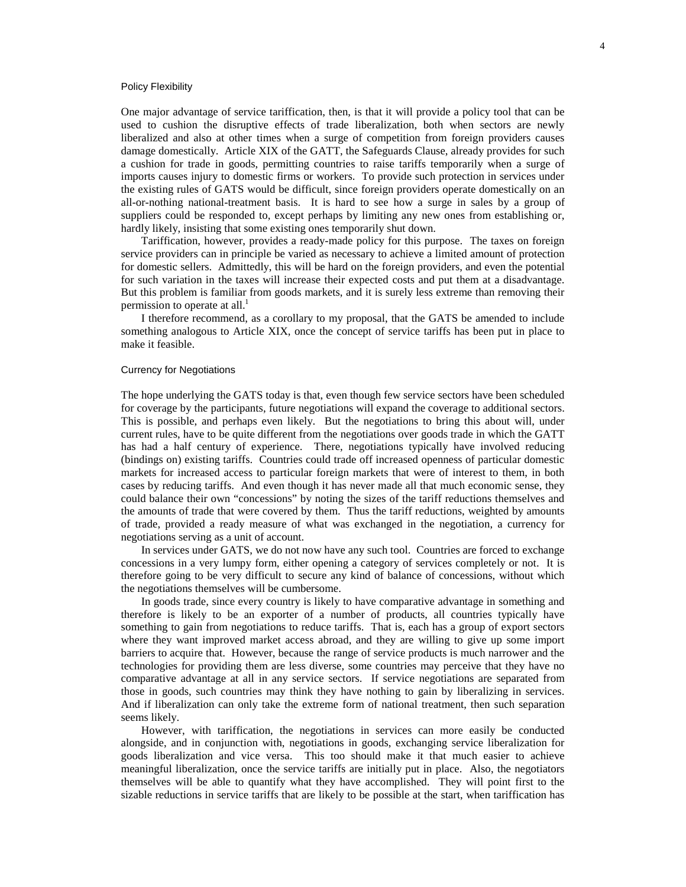#### Policy Flexibility

One major advantage of service tariffication, then, is that it will provide a policy tool that can be used to cushion the disruptive effects of trade liberalization, both when sectors are newly liberalized and also at other times when a surge of competition from foreign providers causes damage domestically. Article XIX of the GATT, the Safeguards Clause, already provides for such a cushion for trade in goods, permitting countries to raise tariffs temporarily when a surge of imports causes injury to domestic firms or workers. To provide such protection in services under the existing rules of GATS would be difficult, since foreign providers operate domestically on an all-or-nothing national-treatment basis. It is hard to see how a surge in sales by a group of suppliers could be responded to, except perhaps by limiting any new ones from establishing or, hardly likely, insisting that some existing ones temporarily shut down.

Tariffication, however, provides a ready-made policy for this purpose. The taxes on foreign service providers can in principle be varied as necessary to achieve a limited amount of protection for domestic sellers. Admittedly, this will be hard on the foreign providers, and even the potential for such variation in the taxes will increase their expected costs and put them at a disadvantage. But this problem is familiar from goods markets, and it is surely less extreme than removing their permission to operate at all.<sup>1</sup>

I therefore recommend, as a corollary to my proposal, that the GATS be amended to include something analogous to Article XIX, once the concept of service tariffs has been put in place to make it feasible.

#### Currency for Negotiations

The hope underlying the GATS today is that, even though few service sectors have been scheduled for coverage by the participants, future negotiations will expand the coverage to additional sectors. This is possible, and perhaps even likely. But the negotiations to bring this about will, under current rules, have to be quite different from the negotiations over goods trade in which the GATT has had a half century of experience. There, negotiations typically have involved reducing (bindings on) existing tariffs. Countries could trade off increased openness of particular domestic markets for increased access to particular foreign markets that were of interest to them, in both cases by reducing tariffs. And even though it has never made all that much economic sense, they could balance their own "concessions" by noting the sizes of the tariff reductions themselves and the amounts of trade that were covered by them. Thus the tariff reductions, weighted by amounts of trade, provided a ready measure of what was exchanged in the negotiation, a currency for negotiations serving as a unit of account.

In services under GATS, we do not now have any such tool. Countries are forced to exchange concessions in a very lumpy form, either opening a category of services completely or not. It is therefore going to be very difficult to secure any kind of balance of concessions, without which the negotiations themselves will be cumbersome.

In goods trade, since every country is likely to have comparative advantage in something and therefore is likely to be an exporter of a number of products, all countries typically have something to gain from negotiations to reduce tariffs. That is, each has a group of export sectors where they want improved market access abroad, and they are willing to give up some import barriers to acquire that. However, because the range of service products is much narrower and the technologies for providing them are less diverse, some countries may perceive that they have no comparative advantage at all in any service sectors. If service negotiations are separated from those in goods, such countries may think they have nothing to gain by liberalizing in services. And if liberalization can only take the extreme form of national treatment, then such separation seems likely.

However, with tariffication, the negotiations in services can more easily be conducted alongside, and in conjunction with, negotiations in goods, exchanging service liberalization for goods liberalization and vice versa. This too should make it that much easier to achieve meaningful liberalization, once the service tariffs are initially put in place. Also, the negotiators themselves will be able to quantify what they have accomplished. They will point first to the sizable reductions in service tariffs that are likely to be possible at the start, when tariffication has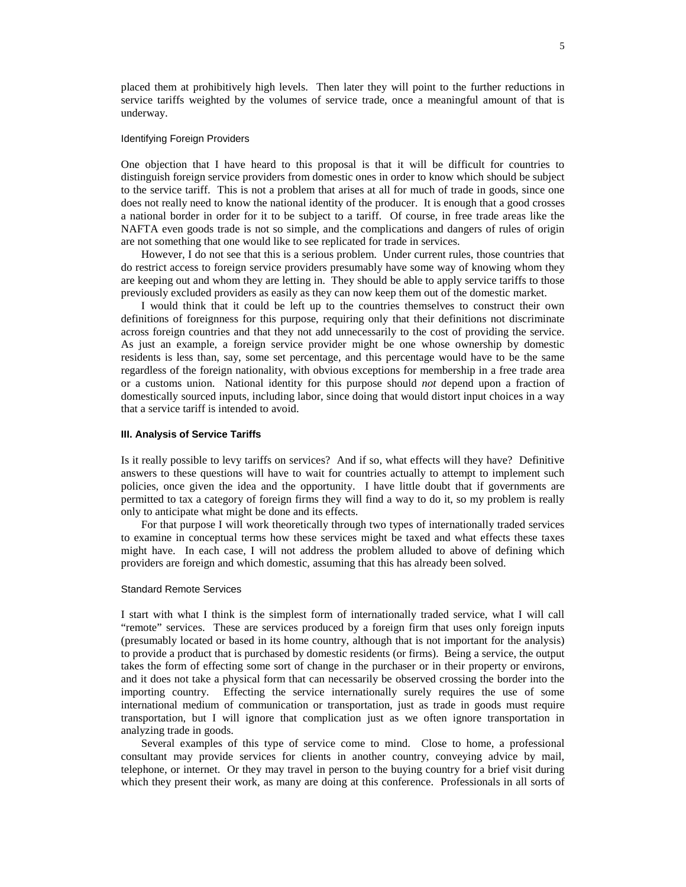placed them at prohibitively high levels. Then later they will point to the further reductions in service tariffs weighted by the volumes of service trade, once a meaningful amount of that is underway.

#### Identifying Foreign Providers

One objection that I have heard to this proposal is that it will be difficult for countries to distinguish foreign service providers from domestic ones in order to know which should be subject to the service tariff. This is not a problem that arises at all for much of trade in goods, since one does not really need to know the national identity of the producer. It is enough that a good crosses a national border in order for it to be subject to a tariff. Of course, in free trade areas like the NAFTA even goods trade is not so simple, and the complications and dangers of rules of origin are not something that one would like to see replicated for trade in services.

However, I do not see that this is a serious problem. Under current rules, those countries that do restrict access to foreign service providers presumably have some way of knowing whom they are keeping out and whom they are letting in. They should be able to apply service tariffs to those previously excluded providers as easily as they can now keep them out of the domestic market.

I would think that it could be left up to the countries themselves to construct their own definitions of foreignness for this purpose, requiring only that their definitions not discriminate across foreign countries and that they not add unnecessarily to the cost of providing the service. As just an example, a foreign service provider might be one whose ownership by domestic residents is less than, say, some set percentage, and this percentage would have to be the same regardless of the foreign nationality, with obvious exceptions for membership in a free trade area or a customs union. National identity for this purpose should *not* depend upon a fraction of domestically sourced inputs, including labor, since doing that would distort input choices in a way that a service tariff is intended to avoid.

#### **III. Analysis of Service Tariffs**

Is it really possible to levy tariffs on services? And if so, what effects will they have? Definitive answers to these questions will have to wait for countries actually to attempt to implement such policies, once given the idea and the opportunity. I have little doubt that if governments are permitted to tax a category of foreign firms they will find a way to do it, so my problem is really only to anticipate what might be done and its effects.

For that purpose I will work theoretically through two types of internationally traded services to examine in conceptual terms how these services might be taxed and what effects these taxes might have. In each case, I will not address the problem alluded to above of defining which providers are foreign and which domestic, assuming that this has already been solved.

#### Standard Remote Services

I start with what I think is the simplest form of internationally traded service, what I will call "remote" services. These are services produced by a foreign firm that uses only foreign inputs (presumably located or based in its home country, although that is not important for the analysis) to provide a product that is purchased by domestic residents (or firms). Being a service, the output takes the form of effecting some sort of change in the purchaser or in their property or environs, and it does not take a physical form that can necessarily be observed crossing the border into the importing country. Effecting the service internationally surely requires the use of some international medium of communication or transportation, just as trade in goods must require transportation, but I will ignore that complication just as we often ignore transportation in analyzing trade in goods.

Several examples of this type of service come to mind. Close to home, a professional consultant may provide services for clients in another country, conveying advice by mail, telephone, or internet. Or they may travel in person to the buying country for a brief visit during which they present their work, as many are doing at this conference. Professionals in all sorts of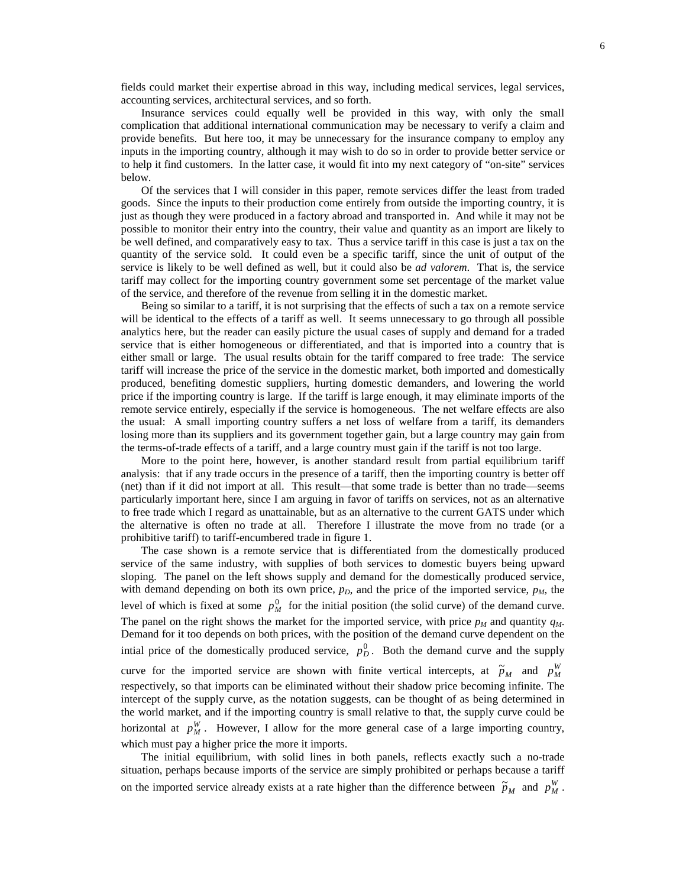fields could market their expertise abroad in this way, including medical services, legal services, accounting services, architectural services, and so forth.

Insurance services could equally well be provided in this way, with only the small complication that additional international communication may be necessary to verify a claim and provide benefits. But here too, it may be unnecessary for the insurance company to employ any inputs in the importing country, although it may wish to do so in order to provide better service or to help it find customers. In the latter case, it would fit into my next category of "on-site" services below.

Of the services that I will consider in this paper, remote services differ the least from traded goods. Since the inputs to their production come entirely from outside the importing country, it is just as though they were produced in a factory abroad and transported in. And while it may not be possible to monitor their entry into the country, their value and quantity as an import are likely to be well defined, and comparatively easy to tax. Thus a service tariff in this case is just a tax on the quantity of the service sold. It could even be a specific tariff, since the unit of output of the service is likely to be well defined as well, but it could also be *ad valorem*. That is, the service tariff may collect for the importing country government some set percentage of the market value of the service, and therefore of the revenue from selling it in the domestic market.

Being so similar to a tariff, it is not surprising that the effects of such a tax on a remote service will be identical to the effects of a tariff as well. It seems unnecessary to go through all possible analytics here, but the reader can easily picture the usual cases of supply and demand for a traded service that is either homogeneous or differentiated, and that is imported into a country that is either small or large. The usual results obtain for the tariff compared to free trade: The service tariff will increase the price of the service in the domestic market, both imported and domestically produced, benefiting domestic suppliers, hurting domestic demanders, and lowering the world price if the importing country is large. If the tariff is large enough, it may eliminate imports of the remote service entirely, especially if the service is homogeneous. The net welfare effects are also the usual: A small importing country suffers a net loss of welfare from a tariff, its demanders losing more than its suppliers and its government together gain, but a large country may gain from the terms-of-trade effects of a tariff, and a large country must gain if the tariff is not too large.

More to the point here, however, is another standard result from partial equilibrium tariff analysis: that if any trade occurs in the presence of a tariff, then the importing country is better off (net) than if it did not import at all. This result—that some trade is better than no trade—seems particularly important here, since I am arguing in favor of tariffs on services, not as an alternative to free trade which I regard as unattainable, but as an alternative to the current GATS under which the alternative is often no trade at all. Therefore I illustrate the move from no trade (or a prohibitive tariff) to tariff-encumbered trade in figure 1.

The case shown is a remote service that is differentiated from the domestically produced service of the same industry, with supplies of both services to domestic buyers being upward sloping. The panel on the left shows supply and demand for the domestically produced service, with demand depending on both its own price,  $p<sub>D</sub>$ , and the price of the imported service,  $p<sub>M</sub>$ , the level of which is fixed at some  $p_M^0$  for the initial position (the solid curve) of the demand curve. The panel on the right shows the market for the imported service, with price  $p<sub>M</sub>$  and quantity  $q<sub>M</sub>$ . Demand for it too depends on both prices, with the position of the demand curve dependent on the intial price of the domestically produced service,  $p_D^0$ . Both the demand curve and the supply curve for the imported service are shown with finite vertical intercepts, at  $\tilde{p}_M$  and  $p_M^W$ respectively, so that imports can be eliminated without their shadow price becoming infinite. The intercept of the supply curve, as the notation suggests, can be thought of as being determined in the world market, and if the importing country is small relative to that, the supply curve could be horizontal at  $p_M^W$ . However, I allow for the more general case of a large importing country, which must pay a higher price the more it imports.

The initial equilibrium, with solid lines in both panels, reflects exactly such a no-trade situation, perhaps because imports of the service are simply prohibited or perhaps because a tariff on the imported service already exists at a rate higher than the difference between  $\tilde{p}_M$  and  $p_M^W$ .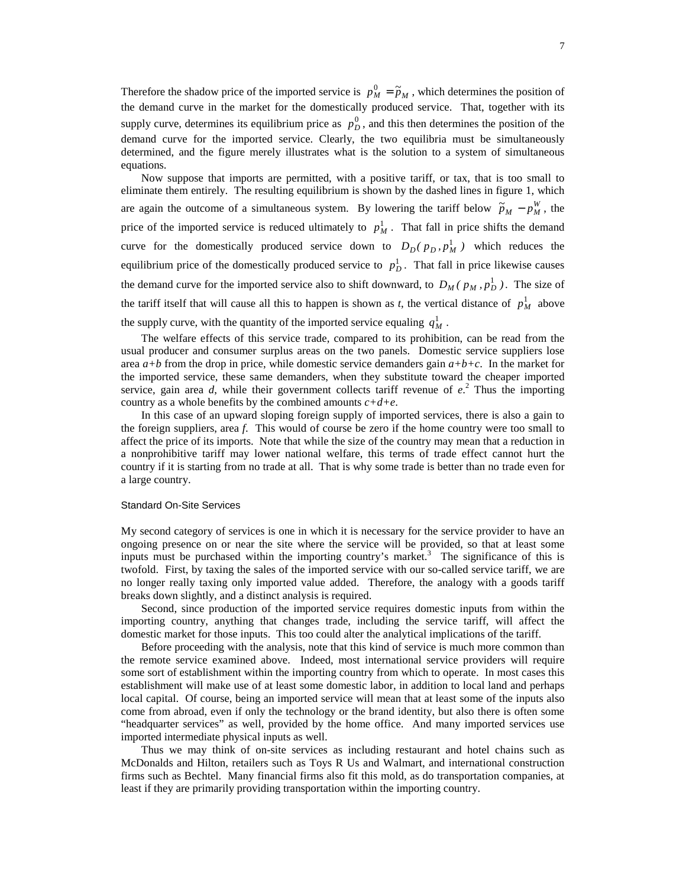Therefore the shadow price of the imported service is  $p_M^0 = \tilde{p}_M$ , which determines the position of the demand curve in the market for the domestically produced service. That, together with its supply curve, determines its equilibrium price as  $p_D^0$ , and this then determines the position of the demand curve for the imported service. Clearly, the two equilibria must be simultaneously determined, and the figure merely illustrates what is the solution to a system of simultaneous equations.

Now suppose that imports are permitted, with a positive tariff, or tax, that is too small to eliminate them entirely. The resulting equilibrium is shown by the dashed lines in figure 1, which are again the outcome of a simultaneous system. By lowering the tariff below  $\tilde{p}_M - p_M^W$ , the price of the imported service is reduced ultimately to  $p_M^1$ . That fall in price shifts the demand curve for the domestically produced service down to  $D_D(p_D, p_M^1)$  which reduces the equilibrium price of the domestically produced service to  $p_D^1$ . That fall in price likewise causes the demand curve for the imported service also to shift downward, to  $D_M$  ( $p_M$ ,  $p_D^1$ ). The size of the tariff itself that will cause all this to happen is shown as *t*, the vertical distance of  $p_M^1$  above the supply curve, with the quantity of the imported service equaling  $q_M^1$ .

The welfare effects of this service trade, compared to its prohibition, can be read from the usual producer and consumer surplus areas on the two panels. Domestic service suppliers lose area  $a+b$  from the drop in price, while domestic service demanders gain  $a+b+c$ . In the market for the imported service, these same demanders, when they substitute toward the cheaper imported service, gain area  $d$ , while their government collects tariff revenue of  $e^2$ . Thus the importing country as a whole benefits by the combined amounts *c+d+e*.

In this case of an upward sloping foreign supply of imported services, there is also a gain to the foreign suppliers, area *f*. This would of course be zero if the home country were too small to affect the price of its imports. Note that while the size of the country may mean that a reduction in a nonprohibitive tariff may lower national welfare, this terms of trade effect cannot hurt the country if it is starting from no trade at all. That is why some trade is better than no trade even for a large country.

#### Standard On-Site Services

My second category of services is one in which it is necessary for the service provider to have an ongoing presence on or near the site where the service will be provided, so that at least some inputs must be purchased within the importing country's market.<sup>3</sup> The significance of this is twofold. First, by taxing the sales of the imported service with our so-called service tariff, we are no longer really taxing only imported value added. Therefore, the analogy with a goods tariff breaks down slightly, and a distinct analysis is required.

Second, since production of the imported service requires domestic inputs from within the importing country, anything that changes trade, including the service tariff, will affect the domestic market for those inputs. This too could alter the analytical implications of the tariff.

Before proceeding with the analysis, note that this kind of service is much more common than the remote service examined above. Indeed, most international service providers will require some sort of establishment within the importing country from which to operate. In most cases this establishment will make use of at least some domestic labor, in addition to local land and perhaps local capital. Of course, being an imported service will mean that at least some of the inputs also come from abroad, even if only the technology or the brand identity, but also there is often some "headquarter services" as well, provided by the home office. And many imported services use imported intermediate physical inputs as well.

Thus we may think of on-site services as including restaurant and hotel chains such as McDonalds and Hilton, retailers such as Toys R Us and Walmart, and international construction firms such as Bechtel. Many financial firms also fit this mold, as do transportation companies, at least if they are primarily providing transportation within the importing country.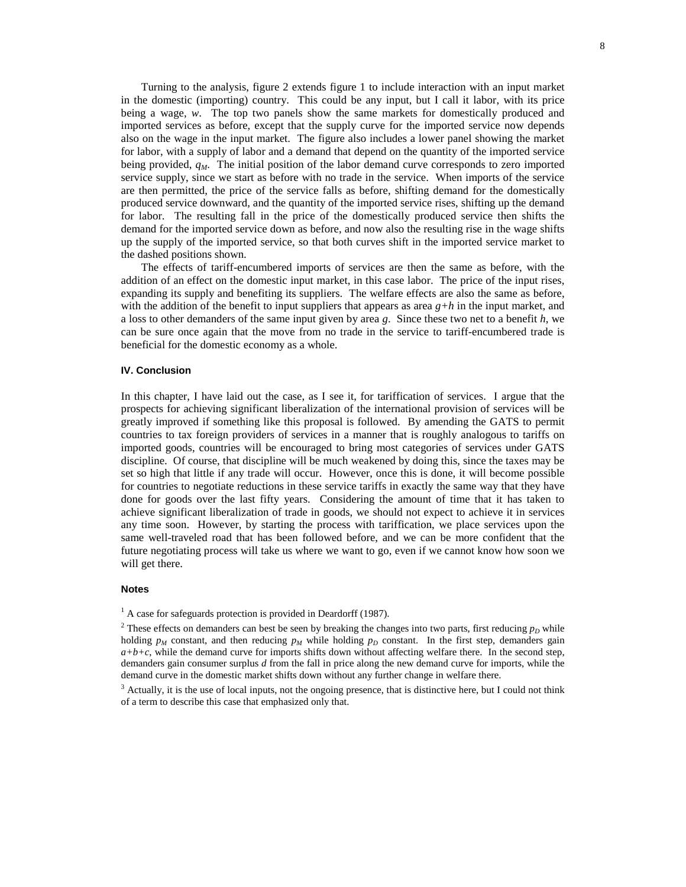Turning to the analysis, figure 2 extends figure 1 to include interaction with an input market in the domestic (importing) country. This could be any input, but I call it labor, with its price being a wage, *w*. The top two panels show the same markets for domestically produced and imported services as before, except that the supply curve for the imported service now depends also on the wage in the input market. The figure also includes a lower panel showing the market for labor, with a supply of labor and a demand that depend on the quantity of the imported service being provided,  $q_M$ . The initial position of the labor demand curve corresponds to zero imported service supply, since we start as before with no trade in the service. When imports of the service are then permitted, the price of the service falls as before, shifting demand for the domestically produced service downward, and the quantity of the imported service rises, shifting up the demand for labor. The resulting fall in the price of the domestically produced service then shifts the demand for the imported service down as before, and now also the resulting rise in the wage shifts up the supply of the imported service, so that both curves shift in the imported service market to the dashed positions shown.

The effects of tariff-encumbered imports of services are then the same as before, with the addition of an effect on the domestic input market, in this case labor. The price of the input rises, expanding its supply and benefiting its suppliers. The welfare effects are also the same as before, with the addition of the benefit to input suppliers that appears as area *g+h* in the input market, and a loss to other demanders of the same input given by area *g*. Since these two net to a benefit *h*, we can be sure once again that the move from no trade in the service to tariff-encumbered trade is beneficial for the domestic economy as a whole.

#### **IV. Conclusion**

In this chapter, I have laid out the case, as I see it, for tariffication of services. I argue that the prospects for achieving significant liberalization of the international provision of services will be greatly improved if something like this proposal is followed. By amending the GATS to permit countries to tax foreign providers of services in a manner that is roughly analogous to tariffs on imported goods, countries will be encouraged to bring most categories of services under GATS discipline. Of course, that discipline will be much weakened by doing this, since the taxes may be set so high that little if any trade will occur. However, once this is done, it will become possible for countries to negotiate reductions in these service tariffs in exactly the same way that they have done for goods over the last fifty years. Considering the amount of time that it has taken to achieve significant liberalization of trade in goods, we should not expect to achieve it in services any time soon. However, by starting the process with tariffication, we place services upon the same well-traveled road that has been followed before, and we can be more confident that the future negotiating process will take us where we want to go, even if we cannot know how soon we will get there.

#### **Notes**

 $<sup>1</sup>$  A case for safeguards protection is provided in Deardorff (1987).</sup>

<sup>&</sup>lt;sup>2</sup> These effects on demanders can best be seen by breaking the changes into two parts, first reducing  $p<sub>D</sub>$  while holding  $p_M$  constant, and then reducing  $p_M$  while holding  $p_D$  constant. In the first step, demanders gain  $a+b+c$ , while the demand curve for imports shifts down without affecting welfare there. In the second step, demanders gain consumer surplus *d* from the fall in price along the new demand curve for imports, while the demand curve in the domestic market shifts down without any further change in welfare there.

 $3$  Actually, it is the use of local inputs, not the ongoing presence, that is distinctive here, but I could not think of a term to describe this case that emphasized only that.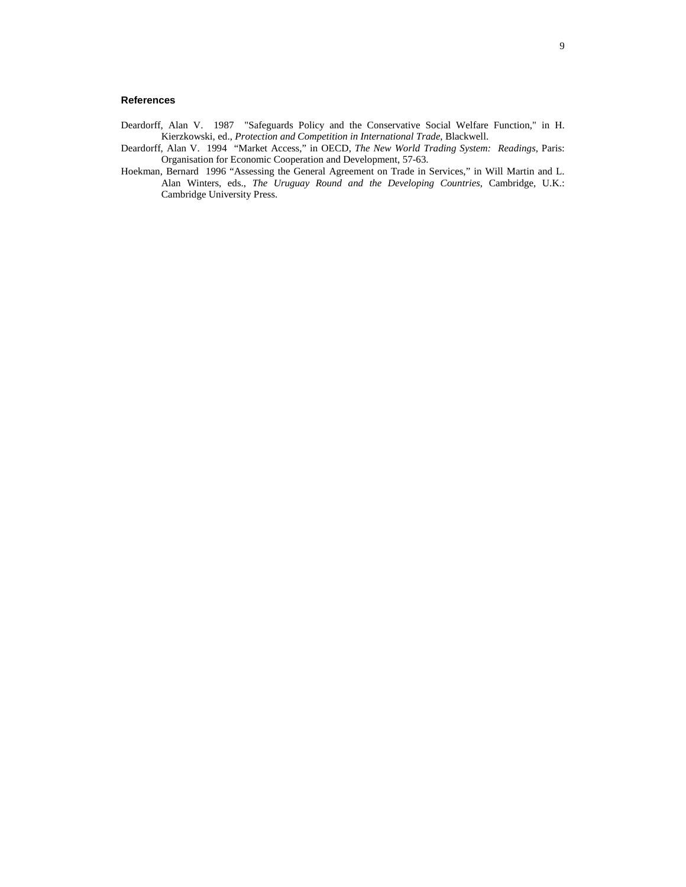#### **References**

- Deardorff, Alan V. 1987 "Safeguards Policy and the Conservative Social Welfare Function," in H. Kierzkowski, ed., *Protection and Competition in International Trade*, Blackwell.
- Deardorff, Alan V. 1994 "Market Access," in OECD, *The New World Trading System: Readings*, Paris: Organisation for Economic Cooperation and Development, 57-63.
- Hoekman, Bernard 1996 "Assessing the General Agreement on Trade in Services," in Will Martin and L. Alan Winters, eds., *The Uruguay Round and the Developing Countries*, Cambridge, U.K.: Cambridge University Press.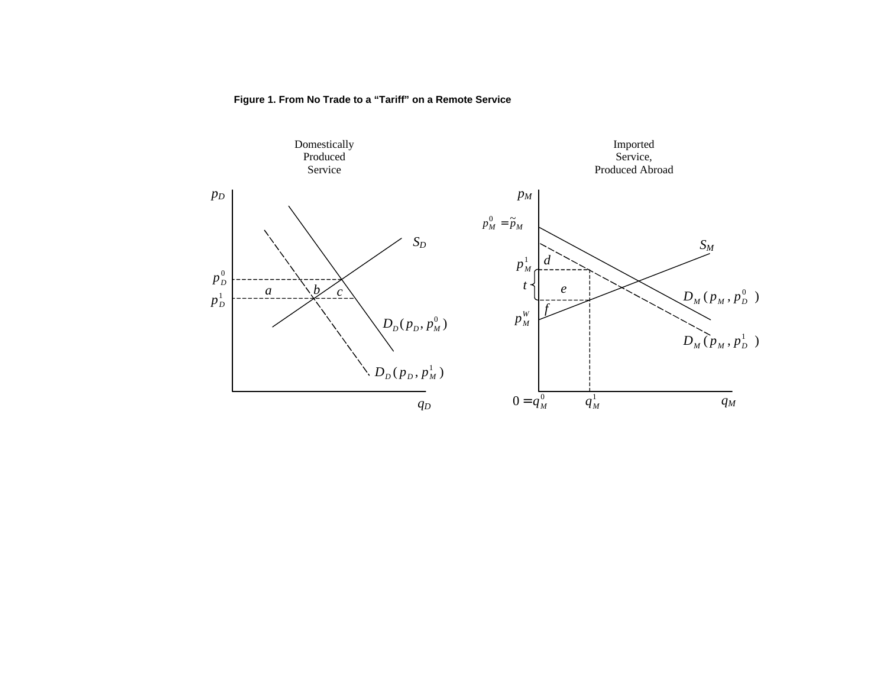

## **Figure 1. From No Trade to a "Tariff" on a Remote Service**